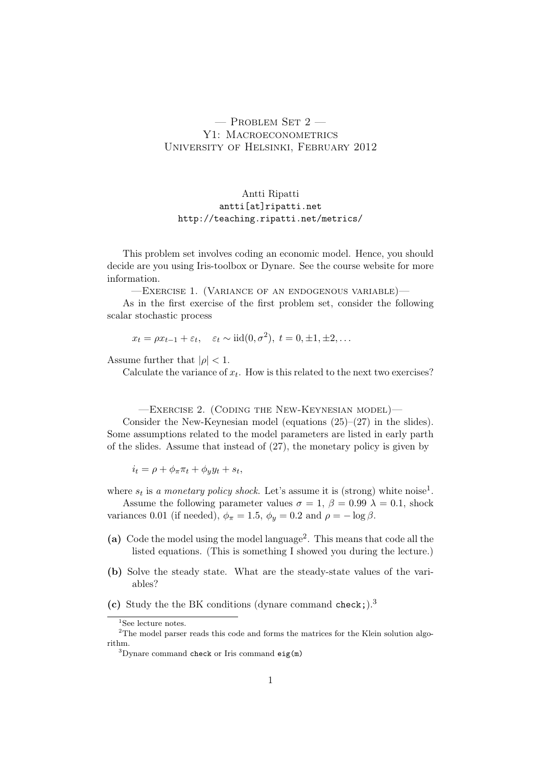## $-$  Problem Set 2  $-$ Y1: MACROECONOMETRICS University of Helsinki, February 2012

## Antti Ripatti antti[at]ripatti.net http://teaching.ripatti.net/metrics/

This problem set involves coding an economic model. Hence, you should decide are you using Iris-toolbox or Dynare. See the course website for more information.

—Exercise 1. (Variance of an endogenous variable)—

As in the first exercise of the first problem set, consider the following scalar stochastic process

 $x_t = \rho x_{t-1} + \varepsilon_t$ ,  $\varepsilon_t \sim \text{iid}(0, \sigma^2)$ ,  $t = 0, \pm 1, \pm 2, \dots$ 

Assume further that  $|\rho| < 1$ .

Calculate the variance of  $x_t$ . How is this related to the next two exercises?

—Exercise 2. (Coding the New-Keynesian model)—

Consider the New-Keynesian model (equations  $(25)-(27)$  in the slides). Some assumptions related to the model parameters are listed in early parth of the slides. Assume that instead of (27), the monetary policy is given by

 $i_t = \rho + \phi_\pi \pi_t + \phi_y y_t + s_t,$ 

where  $s_t$  is a monetary policy shock. Let's assume it is (strong) white noise<sup>1</sup>.

Assume the following parameter values  $\sigma = 1$ ,  $\beta = 0.99 \lambda = 0.1$ , shock variances 0.01 (if needed),  $\phi_{\pi} = 1.5$ ,  $\phi_{y} = 0.2$  and  $\rho = -\log \beta$ .

- (a) Code the model using the model language<sup>2</sup>. This means that code all the listed equations. (This is something I showed you during the lecture.)
- (b) Solve the steady state. What are the steady-state values of the variables?
- (c) Study the the BK conditions (dynare command check;).<sup>3</sup>

 ${}^{1}\mathrm{See}$  lecture notes.

<sup>&</sup>lt;sup>2</sup>The model parser reads this code and forms the matrices for the Klein solution algorithm.

 $3$ Dynare command check or Iris command eig(m)